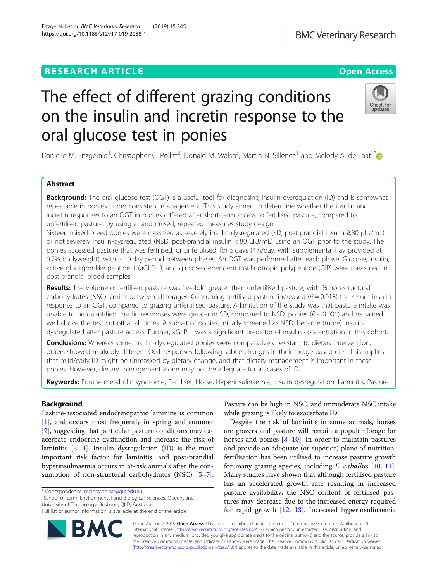# **RESEARCH ARTICLE Example 2014 12:30 The Contract of Contract ACCESS**

# The effect of different grazing conditions on the insulin and incretin response to the oral glucose test in ponies

Danielle M. Fitzgerald<sup>1</sup>, Christopher C. Pollitt<sup>2</sup>, Donald M. Walsh<sup>3</sup>, Martin N. Sillence<sup>1</sup> and Melody A. de Laat<sup>1[\\*](http://orcid.org/0000-0001-7922-3642)</sup>

# Abstract

Background: The oral glucose test (OGT) is a useful tool for diagnosing insulin dysregulation (ID) and is somewhat repeatable in ponies under consistent management. This study aimed to determine whether the insulin and incretin responses to an OGT in ponies differed after short-term access to fertilised pasture, compared to unfertilised pasture, by using a randomised, repeated measures study design.

Sixteen mixed-breed ponies were classified as severely insulin-dysregulated (SD; post-prandial insulin ≥80 μIU/mL) or not severely insulin-dysregulated (NSD; post-prandial insulin < 80 μIU/mL) using an OGT prior to the study. The ponies accessed pasture that was fertilised, or unfertilised, for 5 days (4 h/day, with supplemental hay provided at 0.7% bodyweight), with a 10 day period between phases. An OGT was performed after each phase. Glucose, insulin, active glucagon-like peptide-1 (aGLP-1), and glucose-dependent insulinotropic polypeptide (GIP) were measured in post-prandial blood samples.

Results: The volume of fertilised pasture was five-fold greater than unfertilised pasture, with % non-structural carbohydrates (NSC) similar between all forages. Consuming fertilised pasture increased ( $P = 0.018$ ) the serum insulin response to an OGT, compared to grazing unfertilised pasture. A limitation of the study was that pasture intake was unable to be quantified. Insulin responses were greater in SD, compared to NSD, ponies (P < 0.001) and remained well above the test cut-off at all times. A subset of ponies, initially screened as NSD, became (more) insulindysregulated after pasture access. Further, aGLP-1 was a significant predictor of insulin concentration in this cohort.

**Conclusions:** Whereas some insulin-dysregulated ponies were comparatively resistant to dietary intervention, others showed markedly different OGT responses following subtle changes in their forage-based diet. This implies that mild/early ID might be unmasked by dietary change, and that dietary management is important in these ponies. However, dietary management alone may not be adequate for all cases of ID.

Keywords: Equine metabolic syndrome, Fertiliser, Horse, Hyperinsulinaemia, Insulin dysregulation, Laminitis, Pasture

# Background

Pasture-associated endocrinopathic laminitis is common [[1\]](#page-7-0), and occurs most frequently in spring and summer [[2\]](#page-7-0), suggesting that particular pasture conditions may exacerbate endocrine dysfunction and increase the risk of laminitis [[3,](#page-7-0) [4\]](#page-7-0). Insulin dysregulation (ID) is the most important risk factor for laminitis, and post-prandial hyperinsulinaemia occurs in at-risk animals after the consumption of non-structural carbohydrates (NSC) [[5](#page-7-0)–[7](#page-7-0)].

\* Correspondence: [melody.delaat@qut.edu.au](mailto:melody.delaat@qut.edu.au) <sup>1</sup>

<sup>1</sup>School of Earth, Environmental and Biological Sciences, Queensland University of Technology, Brisbane, QLD, Australia

© The Author(s). 2019 Open Access This article is distributed under the terms of the Creative Commons Attribution 4.0 International License [\(http://creativecommons.org/licenses/by/4.0/](http://creativecommons.org/licenses/by/4.0/)), which permits unrestricted use, distribution, and reproduction in any medium, provided you give appropriate credit to the original author(s) and the source, provide a link to the Creative Commons license, and indicate if changes were made. The Creative Commons Public Domain Dedication waiver [\(http://creativecommons.org/publicdomain/zero/1.0/](http://creativecommons.org/publicdomain/zero/1.0/)) applies to the data made available in this article, unless otherwise stated.

Pasture can be high in NSC, and immoderate NSC intake while grazing is likely to exacerbate ID.

Despite the risk of laminitis in some animals, horses are grazers and pasture will remain a popular forage for horses and ponies  $[8-10]$  $[8-10]$  $[8-10]$ . In order to maintain pastures and provide an adequate (or superior) plane of nutrition, fertilisation has been utilised to increase pasture growth for many grazing species, including  $E$ . caballus  $[10, 11]$  $[10, 11]$  $[10, 11]$  $[10, 11]$  $[10, 11]$ . Many studies have shown that although fertilised pasture has an accelerated growth rate resulting in increased pasture availability, the NSC content of fertilised pastures may decrease due to the increased energy required for rapid growth [[12,](#page-7-0) [13](#page-7-0)]. Increased hyperinsulinaemia





Full list of author information is available at the end of the article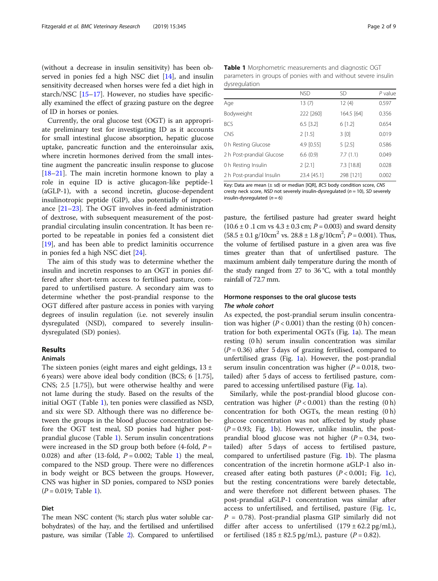(without a decrease in insulin sensitivity) has been observed in ponies fed a high NSC diet [\[14\]](#page-7-0), and insulin sensitivity decreased when horses were fed a diet high in starch/NSC [\[15](#page-7-0)–[17\]](#page-7-0). However, no studies have specifically examined the effect of grazing pasture on the degree of ID in horses or ponies.

Currently, the oral glucose test (OGT) is an appropriate preliminary test for investigating ID as it accounts for small intestinal glucose absorption, hepatic glucose uptake, pancreatic function and the enteroinsular axis, where incretin hormones derived from the small intestine augment the pancreatic insulin response to glucose [[18](#page-7-0)–[21](#page-7-0)]. The main incretin hormone known to play a role in equine ID is active glucagon-like peptide-1 (aGLP-1), with a second incretin, glucose-dependent insulinotropic peptide (GIP), also potentially of importance [\[21](#page-7-0)–[23\]](#page-7-0). The OGT involves in-feed administration of dextrose, with subsequent measurement of the postprandial circulating insulin concentration. It has been reported to be repeatable in ponies fed a consistent diet [[19\]](#page-7-0), and has been able to predict laminitis occurrence in ponies fed a high NSC diet [\[24\]](#page-7-0).

The aim of this study was to determine whether the insulin and incretin responses to an OGT in ponies differed after short-term access to fertilised pasture, compared to unfertilised pasture. A secondary aim was to determine whether the post-prandial response to the OGT differed after pasture access in ponies with varying degrees of insulin regulation (i.e. not severely insulin dysregulated (NSD), compared to severely insulindysregulated (SD) ponies).

#### Results

#### Animals

The sixteen ponies (eight mares and eight geldings,  $13 \pm$ 6 years) were above ideal body condition (BCS; 6 [1.75], CNS; 2.5 [1.75]), but were otherwise healthy and were not lame during the study. Based on the results of the initial OGT (Table 1), ten ponies were classified as NSD, and six were SD. Although there was no difference between the groups in the blood glucose concentration before the OGT test meal, SD ponies had higher postprandial glucose (Table 1). Serum insulin concentrations were increased in the SD group both before  $(4$ -fold,  $P =$ 0.028) and after (13-fold,  $P = 0.002$ ; Table 1) the meal, compared to the NSD group. There were no differences in body weight or BCS between the groups. However, CNS was higher in SD ponies, compared to NSD ponies  $(P = 0.019;$  Table 1).

## Diet

The mean NSC content (%; starch plus water soluble carbohydrates) of the hay, and the fertilised and unfertilised pasture, was similar (Table [2\)](#page-2-0). Compared to unfertilised

Table 1 Morphometric measurements and diagnostic OGT parameters in groups of ponies with and without severe insulin dysregulation

|                           | <b>NSD</b>  | <b>SD</b>  | $P$ value |
|---------------------------|-------------|------------|-----------|
| Aqe                       | 13(7)       | 12(4)      | 0.597     |
| Bodyweight                | 222 [260]   | 164.5 [64] | 0.356     |
| BCS                       | $6.5$ [3.2] | 6[1.2]     | 0.654     |
| CNS                       | $2$ [1.5]   | 3[0]       | 0.019     |
| 0 h Resting Glucose       | 4.9 [0.55]  | 5[2.5]     | 0.586     |
| 2 h Post-prandial Glucose | 6.6(0.9)    | 7.7(1.1)   | 0.049     |
| 0 h Resting Insulin       | $2$ [2.1]   | 7.3 [18.8] | 0.028     |
| 2 h Post-prandial Insulin | 23.4 [45.1] | 298 [121]  | 0.002     |

Key: Data are mean (± sd) or median [IQR], BCS body condition score, CNS cresty neck score, NSD not severely insulin-dysregulated ( $n = 10$ ), SD severely insulin-dysregulated  $(n = 6)$ 

pasture, the fertilised pasture had greater sward height  $(10.6 \pm 0.1 \text{ cm} \text{ vs } 4.3 \pm 0.3 \text{ cm}; P = 0.003)$  and sward density  $(58.5 \pm 0.1 \text{ g}/10 \text{ cm}^2 \text{ vs. } 28.8 \pm 1.8 \text{ g}/10 \text{ cm}^2; P = 0.001)$ . Thus, the volume of fertilized pasture in a given area was five the volume of fertilised pasture in a given area was five times greater than that of unfertilised pasture. The maximum ambient daily temperature during the month of the study ranged from 27 to 36  $°C$ , with a total monthly rainfall of 72.7 mm.

# Hormone responses to the oral glucose tests

As expected, the post-prandial serum insulin concentration was higher ( $P < 0.001$ ) than the resting (0 h) concentration for both experimental OGTs (Fig. [1a](#page-2-0)). The mean resting (0 h) serum insulin concentration was similar  $(P = 0.36)$  after 5 days of grazing fertilised, compared to unfertilised grass (Fig. [1](#page-2-0)a). However, the post-prandial serum insulin concentration was higher ( $P = 0.018$ , twotailed) after 5 days of access to fertilised pasture, compared to accessing unfertilised pasture (Fig. [1a](#page-2-0)).

Similarly, while the post-prandial blood glucose concentration was higher  $(P < 0.001)$  than the resting  $(0 h)$ concentration for both OGTs, the mean resting (0 h) glucose concentration was not affected by study phase  $(P = 0.93;$  Fig. [1b](#page-2-0)). However, unlike insulin, the postprandial blood glucose was not higher  $(P = 0.34,$  twotailed) after 5 days of access to fertilised pasture, compared to unfertilised pasture (Fig. [1](#page-2-0)b). The plasma concentration of the incretin hormone aGLP-1 also increased after eating both pastures  $(P < 0.001;$  Fig. [1c](#page-2-0)), but the resting concentrations were barely detectable, and were therefore not different between phases. The post-prandial aGLP-1 concentration was similar after access to unfertilised, and fertilised, pasture (Fig. [1c](#page-2-0),  $P = 0.78$ ). Post-prandial plasma GIP similarly did not differ after access to unfertilised  $(179 \pm 62.2 \text{ pg/mL})$ , or fertilised  $(185 \pm 82.5 \text{ pg/mL})$ , pasture  $(P = 0.82)$ .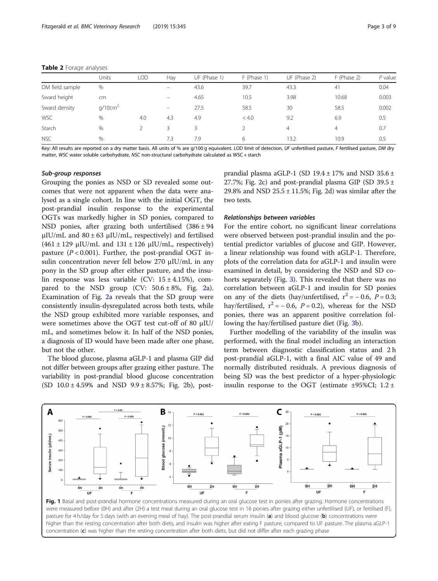#### <span id="page-2-0"></span>Table 2 Forage analyses

|                 | Units               | LOD | Hay               | UF (Phase 1) | F (Phase 1) | UF (Phase 2) | F (Phase 2) | $P$ value |
|-----------------|---------------------|-----|-------------------|--------------|-------------|--------------|-------------|-----------|
| DM field sample | %                   |     |                   | 43.6         | 39.7        | 43.3         | 41          | 0.04      |
| Sward height    | cm                  |     | $\qquad \qquad =$ | 4.65         | 10.5        | 3.98         | 10.68       | 0.003     |
| Sward density   | q/10cm <sup>2</sup> |     | $\qquad \qquad$   | 27.5         | 58.5        | 30           | 58.5        | 0.002     |
| <b>WSC</b>      | $\%$                | 4.0 | 4.3               | 4.9          | < 4.0       | 9.2          | 6.9         | 0.5       |
| Starch          | $\%$                |     | 3                 |              |             | 4            | 4           | 0.7       |
| <b>NSC</b>      | %                   |     | 7.3               | 7.9          | 6           | 13.2         | 10.9        | 0.5       |

Key: All results are reported on a dry matter basis. All units of % are g/100 g equivalent. LOD limit of detection, UF unfertilised pasture, F fertilised pasture, DM dry matter, WSC water soluble carbohydrate, NSC non-structural carbohydrate calculated as WSC + starch

Grouping the ponies as NSD or SD revealed some outcomes that were not apparent when the data were analysed as a single cohort. In line with the initial OGT, the post-prandial insulin response to the experimental OGTs was markedly higher in SD ponies, compared to NSD ponies, after grazing both unfertilised  $(386 \pm 94)$ μIU/mL and  $80 ± 63$  μIU/mL, respectively) and fertilised  $(461 \pm 129 \text{ µIU/mL}$  and  $131 \pm 126 \text{ µIU/mL}$ , respectively) pasture  $(P < 0.001)$ . Further, the post-prandial OGT insulin concentration never fell below 270 μIU/mL in any pony in the SD group after either pasture, and the insulin response was less variable (CV:  $15 \pm 4.15$ %), compared to the NSD group (CV:  $50.6 \pm 8\%$ , Fig. [2a](#page-3-0)). Examination of Fig. [2](#page-3-0)a reveals that the SD group were consistently insulin-dysregulated across both tests, while the NSD group exhibited more variable responses, and were sometimes above the OGT test cut-off of 80 μIU/ mL, and sometimes below it. In half of the NSD ponies, a diagnosis of ID would have been made after one phase, but not the other.

The blood glucose, plasma aGLP-1 and plasma GIP did not differ between groups after grazing either pasture. The variability in post-prandial blood glucose concentration (SD  $10.0 \pm 4.59\%$  and NSD  $9.9 \pm 8.57\%$ ; Fig. [2](#page-3-0)b), postprandial plasma aGLP-1 (SD  $19.4 \pm 17\%$  and NSD  $35.6 \pm$ [2](#page-3-0)7.7%; Fig. 2c) and post-prandial plasma GIP (SD 39.5  $\pm$ 29.8% and NSD  $25.5 \pm 11.5$ %; Fig. [2d](#page-3-0)) was similar after the two tests.

For the entire cohort, no significant linear correlations were observed between post-prandial insulin and the potential predictor variables of glucose and GIP. However, a linear relationship was found with aGLP-1. Therefore, plots of the correlation data for aGLP-1 and insulin were examined in detail, by considering the NSD and SD cohorts separately (Fig. [3\)](#page-4-0). This revealed that there was no correlation between aGLP-1 and insulin for SD ponies on any of the diets (hay/unfertilised,  $r^2 = -0.6$ ,  $P = 0.3$ ; hay/fertilised,  $r^2 = -0.6$ ,  $P = 0.2$ ), whereas for the NSD ponies, there was an apparent positive correlation following the hay/fertilised pasture diet (Fig. [3](#page-4-0)b).

Further modelling of the variability of the insulin was performed, with the final model including an interaction term between diagnostic classification status and 2 h post-prandial aGLP-1, with a final AIC value of 49 and normally distributed residuals. A previous diagnosis of being SD was the best predictor of a hyper-physiologic insulin response to the OGT (estimate  $\pm$ 95%CI; 1.2  $\pm$ 



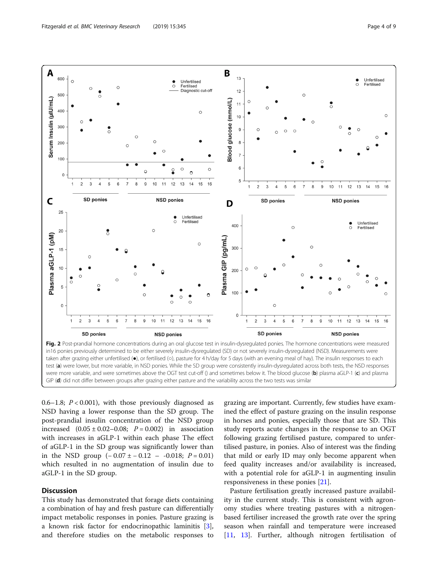<span id="page-3-0"></span>

0.6–1.8;  $P < 0.001$ ), with those previously diagnosed as NSD having a lower response than the SD group. The post-prandial insulin concentration of the NSD group increased  $(0.05 \pm 0.02 - 0.08; P = 0.002)$  in association with increases in aGLP-1 within each phase The effect of aGLP-1 in the SD group was significantly lower than in the NSD group  $(-0.07 \pm -0.12 - 0.018; P = 0.01)$ which resulted in no augmentation of insulin due to aGLP-1 in the SD group.

## **Discussion**

This study has demonstrated that forage diets containing a combination of hay and fresh pasture can differentially impact metabolic responses in ponies. Pasture grazing is a known risk factor for endocrinopathic laminitis [\[3](#page-7-0)], and therefore studies on the metabolic responses to

grazing are important. Currently, few studies have examined the effect of pasture grazing on the insulin response in horses and ponies, especially those that are SD. This study reports acute changes in the response to an OGT following grazing fertilised pasture, compared to unfertilised pasture, in ponies. Also of interest was the finding that mild or early ID may only become apparent when feed quality increases and/or availability is increased, with a potential role for aGLP-1 in augmenting insulin responsiveness in these ponies [\[21](#page-7-0)].

Pasture fertilisation greatly increased pasture availability in the current study. This is consistent with agronomy studies where treating pastures with a nitrogenbased fertiliser increased the growth rate over the spring season when rainfall and temperature were increased [[11,](#page-7-0) [13](#page-7-0)]. Further, although nitrogen fertilisation of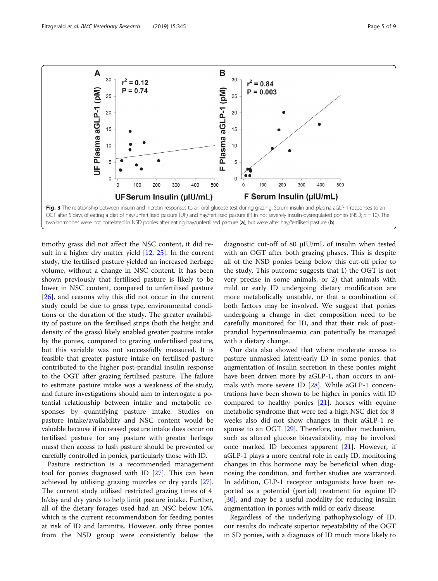<span id="page-4-0"></span>

timothy grass did not affect the NSC content, it did re-sult in a higher dry matter yield [[12](#page-7-0), [25\]](#page-7-0). In the current study, the fertilised pasture yielded an increased herbage volume, without a change in NSC content. It has been shown previously that fertilised pasture is likely to be lower in NSC content, compared to unfertilised pasture [[26\]](#page-7-0), and reasons why this did not occur in the current study could be due to grass type, environmental conditions or the duration of the study. The greater availability of pasture on the fertilised strips (both the height and density of the grass) likely enabled greater pasture intake by the ponies, compared to grazing unfertilised pasture, but this variable was not successfully measured. It is feasible that greater pasture intake on fertilised pasture contributed to the higher post-prandial insulin response to the OGT after grazing fertilised pasture. The failure to estimate pasture intake was a weakness of the study, and future investigations should aim to interrogate a potential relationship between intake and metabolic responses by quantifying pasture intake. Studies on pasture intake/availability and NSC content would be valuable because if increased pasture intake does occur on fertilised pasture (or any pasture with greater herbage mass) then access to lush pasture should be prevented or carefully controlled in ponies, particularly those with ID.

Pasture restriction is a recommended management tool for ponies diagnosed with ID [\[27\]](#page-7-0). This can been achieved by utilising grazing muzzles or dry yards [\[27](#page-7-0)]. The current study utilised restricted grazing times of 4 h/day and dry yards to help limit pasture intake. Further, all of the dietary forages used had an NSC below 10%, which is the current recommendation for feeding ponies at risk of ID and laminitis. However, only three ponies from the NSD group were consistently below the

diagnostic cut-off of 80 μIU/mL of insulin when tested with an OGT after both grazing phases. This is despite all of the NSD ponies being below this cut-off prior to the study. This outcome suggests that 1) the OGT is not very precise in some animals, or 2) that animals with mild or early ID undergoing dietary modification are more metabolically unstable, or that a combination of both factors may be involved. We suggest that ponies undergoing a change in diet composition need to be carefully monitored for ID, and that their risk of postprandial hyperinsulinaemia can potentially be managed with a dietary change.

Our data also showed that where moderate access to pasture unmasked latent/early ID in some ponies, that augmentation of insulin secretion in these ponies might have been driven more by aGLP-1, than occurs in animals with more severe ID  $[28]$  $[28]$ . While aGLP-1 concentrations have been shown to be higher in ponies with ID compared to healthy ponies  $[21]$  $[21]$ , horses with equine metabolic syndrome that were fed a high NSC diet for 8 weeks also did not show changes in their aGLP-1 re-sponse to an OGT [[29\]](#page-8-0). Therefore, another mechanism, such as altered glucose bioavailability, may be involved once marked ID becomes apparent [\[21\]](#page-7-0). However, if aGLP-1 plays a more central role in early ID, monitoring changes in this hormone may be beneficial when diagnosing the condition, and further studies are warranted. In addition, GLP-1 receptor antagonists have been reported as a potential (partial) treatment for equine ID [[30\]](#page-8-0), and may be a useful modality for reducing insulin augmentation in ponies with mild or early disease.

Regardless of the underlying pathophysiology of ID, our results do indicate superior repeatability of the OGT in SD ponies, with a diagnosis of ID much more likely to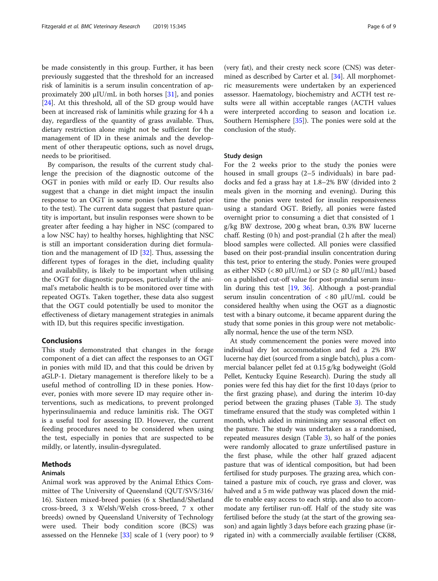be made consistently in this group. Further, it has been previously suggested that the threshold for an increased risk of laminitis is a serum insulin concentration of approximately 200  $\mu$ IU/mL in both horses [[31](#page-8-0)], and ponies [[24\]](#page-7-0). At this threshold, all of the SD group would have been at increased risk of laminitis while grazing for 4 h a day, regardless of the quantity of grass available. Thus, dietary restriction alone might not be sufficient for the management of ID in these animals and the development of other therapeutic options, such as novel drugs, needs to be prioritised.

By comparison, the results of the current study challenge the precision of the diagnostic outcome of the OGT in ponies with mild or early ID. Our results also suggest that a change in diet might impact the insulin response to an OGT in some ponies (when fasted prior to the test). The current data suggest that pasture quantity is important, but insulin responses were shown to be greater after feeding a hay higher in NSC (compared to a low NSC hay) to healthy horses, highlighting that NSC is still an important consideration during diet formulation and the management of ID [[32](#page-8-0)]. Thus, assessing the different types of forages in the diet, including quality and availability, is likely to be important when utilising the OGT for diagnostic purposes, particularly if the animal's metabolic health is to be monitored over time with repeated OGTs. Taken together, these data also suggest that the OGT could potentially be used to monitor the effectiveness of dietary management strategies in animals with ID, but this requires specific investigation.

## Conclusions

This study demonstrated that changes in the forage component of a diet can affect the responses to an OGT in ponies with mild ID, and that this could be driven by aGLP-1. Dietary management is therefore likely to be a useful method of controlling ID in these ponies. However, ponies with more severe ID may require other interventions, such as medications, to prevent prolonged hyperinsulinaemia and reduce laminitis risk. The OGT is a useful tool for assessing ID. However, the current feeding procedures need to be considered when using the test, especially in ponies that are suspected to be mildly, or latently, insulin-dysregulated.

#### Methods

#### Animals

Animal work was approved by the Animal Ethics Committee of The University of Queensland (QUT/SVS/316/ 16). Sixteen mixed-breed ponies (6 x Shetland/Shetland cross-breed, 3 x Welsh/Welsh cross-breed, 7 x other breeds) owned by Queensland University of Technology were used. Their body condition score (BCS) was assessed on the Henneke [[33](#page-8-0)] scale of 1 (very poor) to 9

(very fat), and their cresty neck score (CNS) was determined as described by Carter et al. [\[34](#page-8-0)]. All morphometric measurements were undertaken by an experienced assessor. Haematology, biochemistry and ACTH test results were all within acceptable ranges (ACTH values were interpreted according to season and location i.e. Southern Hemisphere [\[35](#page-8-0)]). The ponies were sold at the conclusion of the study.

#### Study design

For the 2 weeks prior to the study the ponies were housed in small groups (2–5 individuals) in bare paddocks and fed a grass hay at 1.8–2% BW (divided into 2 meals given in the morning and evening). During this time the ponies were tested for insulin responsiveness using a standard OGT. Briefly, all ponies were fasted overnight prior to consuming a diet that consisted of 1 g/kg BW dextrose, 200 g wheat bran, 0.3% BW lucerne chaff. Resting (0 h) and post-prandial (2 h after the meal) blood samples were collected. All ponies were classified based on their post-prandial insulin concentration during this test, prior to entering the study. Ponies were grouped as either NSD ( $< 80 \mu$ IU/mL) or SD ( $\geq 80 \mu$ IU/mL) based on a published cut-off value for post-prandial serum insulin during this test [\[19,](#page-7-0) [36\]](#page-8-0). Although a post-prandial serum insulin concentration of < 80 μIU/mL could be considered healthy when using the OGT as a diagnostic test with a binary outcome, it became apparent during the study that some ponies in this group were not metabolically normal, hence the use of the term NSD.

At study commencement the ponies were moved into individual dry lot accommodation and fed a 2% BW lucerne hay diet (sourced from a single batch), plus a commercial balancer pellet fed at 0.15 g/kg bodyweight (Gold Pellet, Kentucky Equine Research). During the study all ponies were fed this hay diet for the first 10 days (prior to the first grazing phase), and during the interim 10-day period between the grazing phases (Table [3](#page-6-0)). The study timeframe ensured that the study was completed within 1 month, which aided in minimising any seasonal effect on the pasture. The study was undertaken as a randomised, repeated measures design (Table [3](#page-6-0)), so half of the ponies were randomly allocated to graze unfertilised pasture in the first phase, while the other half grazed adjacent pasture that was of identical composition, but had been fertilised for study purposes. The grazing area, which contained a pasture mix of couch, rye grass and clover, was halved and a 5 m wide pathway was placed down the middle to enable easy access to each strip, and also to accommodate any fertiliser run-off. Half of the study site was fertilised before the study (at the start of the growing season) and again lightly 3 days before each grazing phase (irrigated in) with a commercially available fertiliser (CK88,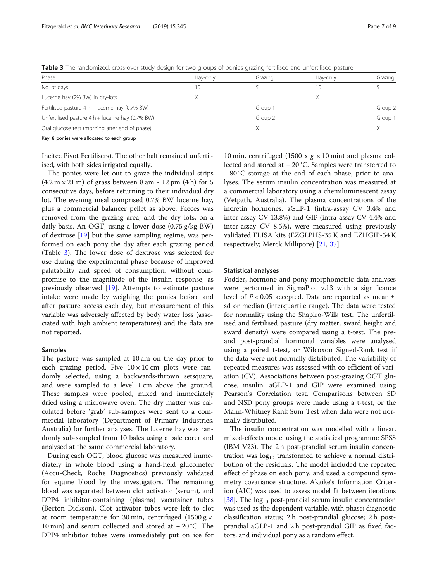<span id="page-6-0"></span>Table 3 The randomized, cross-over study design for two groups of ponies grazing fertilised and unfertilised pasture

| Phase                                              | Hay-only | Grazing | Hay-only | Grazing |
|----------------------------------------------------|----------|---------|----------|---------|
| No. of days                                        | 10       |         | 10       |         |
| Lucerne hay (2% BW) in dry-lots                    |          |         | Х        |         |
| Fertilised pasture $4 h +$ lucerne hay (0.7% BW)   |          | Group 1 |          | Group 2 |
| Unfertilised pasture $4 h +$ lucerne hay (0.7% BW) |          | Group 2 |          | Group 1 |
| Oral glucose test (morning after end of phase)     |          |         |          |         |
|                                                    |          |         |          |         |

Key: 8 ponies were allocated to each group

Incitec Pivot Fertilisers). The other half remained unfertilised, with both sides irrigated equally.

The ponies were let out to graze the individual strips  $(4.2 \text{ m} \times 21 \text{ m})$  of grass between 8 am - 12 pm  $(4 \text{ h})$  for 5 consecutive days, before returning to their individual dry lot. The evening meal comprised 0.7% BW lucerne hay, plus a commercial balancer pellet as above. Faeces was removed from the grazing area, and the dry lots, on a daily basis. An OGT, using a lower dose (0.75 g/kg BW) of dextrose [[19\]](#page-7-0) but the same sampling regime, was performed on each pony the day after each grazing period (Table 3). The lower dose of dextrose was selected for use during the experimental phase because of improved palatability and speed of consumption, without compromise to the magnitude of the insulin response, as previously observed [[19\]](#page-7-0). Attempts to estimate pasture intake were made by weighing the ponies before and after pasture access each day, but measurement of this variable was adversely affected by body water loss (associated with high ambient temperatures) and the data are not reported.

#### Samples

The pasture was sampled at 10 am on the day prior to each grazing period. Five  $10 \times 10$  cm plots were randomly selected, using a backwards-thrown setsquare, and were sampled to a level 1 cm above the ground. These samples were pooled, mixed and immediately dried using a microwave oven. The dry matter was calculated before 'grab' sub-samples were sent to a commercial laboratory (Department of Primary Industries, Australia) for further analyses. The lucerne hay was randomly sub-sampled from 10 bales using a bale corer and analysed at the same commercial laboratory.

During each OGT, blood glucose was measured immediately in whole blood using a hand-held glucometer (Accu-Check, Roche Diagnostics) previously validated for equine blood by the investigators. The remaining blood was separated between clot activator (serum), and DPP4 inhibitor-containing (plasma) vacutainer tubes (Becton Dickson). Clot activator tubes were left to clot at room temperature for 30 min, centrifuged  $(1500 g \times$ 10 min) and serum collected and stored at − 20 °C. The DPP4 inhibitor tubes were immediately put on ice for

10 min, centrifuged (1500 x  $g \times 10$  min) and plasma collected and stored at − 20 °C. Samples were transferred to − 80 °C storage at the end of each phase, prior to analyses. The serum insulin concentration was measured at a commercial laboratory using a chemiluminescent assay (Vetpath, Australia). The plasma concentrations of the incretin hormones, aGLP-1 (intra-assay CV 3.4% and inter-assay CV 13.8%) and GIP (intra-assay CV 4.4% and inter-assay CV 8.5%), were measured using previously validated ELISA kits (EZGLPHS-35 K and EZHGIP-54 K respectively; Merck Millipore) [[21,](#page-7-0) [37](#page-8-0)].

#### Statistical analyses

Fodder, hormone and pony morphometric data analyses were performed in SigmaPlot v.13 with a significance level of  $P < 0.05$  accepted. Data are reported as mean  $\pm$ sd or median (interquartile range). The data were tested for normality using the Shapiro-Wilk test. The unfertilised and fertilised pasture (dry matter, sward height and sward density) were compared using a t-test. The preand post-prandial hormonal variables were analysed using a paired t-test, or Wilcoxon Signed-Rank test if the data were not normally distributed. The variability of repeated measures was assessed with co-efficient of variation (CV). Associations between post-grazing OGT glucose, insulin, aGLP-1 and GIP were examined using Pearson's Correlation test. Comparisons between SD and NSD pony groups were made using a t-test, or the Mann-Whitney Rank Sum Test when data were not normally distributed.

The insulin concentration was modelled with a linear, mixed-effects model using the statistical programme SPSS (IBM V23). The 2 h post-prandial serum insulin concentration was  $log_{10}$  transformed to achieve a normal distribution of the residuals. The model included the repeated effect of phase on each pony, and used a compound symmetry covariance structure. Akaike's Information Criterion (AIC) was used to assess model fit between iterations [[38](#page-8-0)]. The  $log_{10}$  post-prandial serum insulin concentration was used as the dependent variable, with phase; diagnostic classification status; 2 h post-prandial glucose; 2 h postprandial aGLP-1 and 2 h post-prandial GIP as fixed factors, and individual pony as a random effect.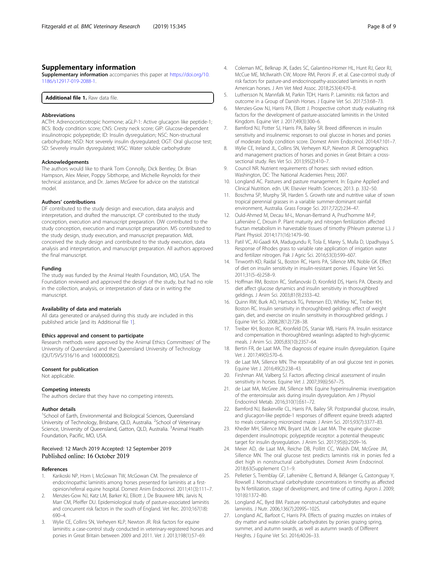### <span id="page-7-0"></span>Supplementary information

Supplementary information accompanies this paper at [https://doi.org/10.](https://doi.org/10.1186/s12917-019-2088-1) [1186/s12917-019-2088-1.](https://doi.org/10.1186/s12917-019-2088-1)

Additional file 1. Raw data file.

#### Abbreviations

ACTH: Adrenocorticotropic hormone; aGLP-1: Active glucagon like peptide-1; BCS: Body condition score; CNS: Cresty neck score; GIP: Glucose-dependent insulinotropic polypeptide; ID: Insulin dysregulation; NSC: Non-structural carbohydrate; NSD: Not severely insulin dysregulated; OGT: Oral glucose test; SD: Severely insulin dysregulated; WSC: Water soluble carbohydrate

#### Acknowledgements

The authors would like to thank Tom Connolly, Dick Bentley, Dr. Brian Hampson, Alex Meier, Poppy Sibthorpe, and Michelle Reynolds for their technical assistance, and Dr. James McGree for advice on the statistical model.

#### Authors' contributions

DF contributed to the study design and execution, data analysis and interpretation, and drafted the manuscript. CP contributed to the study conception, execution and manuscript preparation. DW contributed to the study conception, execution and manuscript preparation. MS contributed to the study design, study execution, and manuscript preparation. MdL conceived the study design and contributed to the study execution, data analysis and interpretation, and manuscript preparation. All authors approved the final manuscript.

#### Funding

The study was funded by the Animal Health Foundation, MO, USA. The Foundation reviewed and approved the design of the study, but had no role in the collection, analysis, or interpretation of data or in writing the manuscript.

#### Availability of data and materials

All data generated or analysed during this study are included in this published article [and its Additional file 1].

#### Ethics approval and consent to participate

Research methods were approved by the Animal Ethics Committees' of The University of Queensland and the Queensland University of Technology (QUT/SVS/316/16 and 1600000825).

#### Consent for publication

Not applicable.

#### Competing interests

The authors declare that they have no competing interests.

#### Author details

<sup>1</sup>School of Earth, Environmental and Biological Sciences, Queensland University of Technology, Brisbane, QLD, Australia. <sup>2</sup>School of Veterinary Science, University of Queensland, Gatton, QLD, Australia. <sup>3</sup>Animal Health Foundation, Pacific, MO, USA.

#### Received: 12 March 2019 Accepted: 12 September 2019 Published online: 16 October 2019

#### References

- Karikoski NP, Horn I, McGowan TW, McGowan CM. The prevalence of endocrinopathic laminitis among horses presented for laminitis at a firstopinion/referral equine hospital. Domest Anim Endocrinol. 2011;41(3):111–7.
- 2. Menzies-Gow NJ, Katz LM, Barker KJ, Elliott J, De Brauwere MN, Jarvis N, Marr CM, Pfeiffer DU. Epidemiological study of pasture-associated laminitis and concurrent risk factors in the south of England. Vet Rec. 2010;167(18): 690–4.
- 3. Wylie CE, Collins SN, Verheyen KLP, Newton JR. Risk factors for equine laminitis: a case-control study conducted in veterinary-registered horses and ponies in Great Britain between 2009 and 2011. Vet J. 2013;198(1):57–69.
- 4. Coleman MC, Belknap JK, Eades SC, Galantino-Homer HL, Hunt RJ, Geor RJ, McCue ME, McIlwraith CW, Moore RM, Peroni JF, et al. Case-control study of risk factors for pasture-and endocrinopathy-associated laminitis in north American horses. J Am Vet Med Assoc. 2018;253(4):470–8.
- 5. Luthersson N, Mannfalk M, Parkin TDH, Harris P. Laminitis: risk factors and outcome in a Group of Danish Horses. J Equine Vet Sci. 2017;53:68–73.
- 6. Menzies-Gow NJ, Harris PA, Elliott J. Prospective cohort study evaluating risk factors for the development of pasture-associated laminitis in the United Kingdom. Equine Vet J. 2017;49(3):300–6.
- 7. Bamford NJ, Potter SJ, Harris PA, Bailey SR. Breed differences in insulin sensitivity and insulinemic responses to oral glucose in horses and ponies of moderate body condition score. Domest Anim Endocrinol. 2014;47:101–7.
- 8. Wylie CE, Ireland JL, Collins SN, Verheyen KLP, Newton JR. Demographics and management practices of horses and ponies in Great Britain: a crosssectional study. Res Vet Sci. 2013;95(2):410–7.
- 9. Council NR. Nutrient requirements of horses: sixth revised edition. Washington, DC: The National Academies Press; 2007.
- 10. Longland AC. Pastures and pasture management. In: Equine Applied and Clinical Nutrition. edn. UK: Elsevier Health Sciences; 2013. p. 332–50.
- 11. Boschma SP, Murphy SR, Harden S. Growth rate and nutritive value of sown tropical perennial grasses in a variable summer-dominant rainfall environment, Australia. Grass Forage Sci. 2017;72(2):234–47.
- 12. Ould-Ahmed M, Decau M-L, Morvan-Bertrand A, Prud'homme M-P, Lafrenière C, Drouin P. Plant maturity and nitrogen fertilization affected fructan metabolism in harvestable tissues of timothy (Phleum pratense L.). J Plant Physiol. 2014;171(16):1479–90.
- 13. Patil VC, Al-Gaadi KA, Madugundu R, Tola E, Marey S, Mulla D, Upadhyaya S. Response of Rhodes grass to variable rate application of irrigation water and fertilizer nitrogen. Pak J Agric Sci. 2016;53(3):599–607.
- 14. Tinworth KD, Raidal SL, Boston RC, Harris PA, Sillence MN, Noble GK. Effect of diet on insulin sensitivity in insulin-resistant ponies. J Equine Vet Sci. 2011;31(5–6):258–9.
- 15. Hoffman RM, Boston RC, Stefanovski D, Kronfeld DS, Harris PA. Obesity and diet affect glucose dynamics and insulin sensitivity in thoroughbred geldings. J Anim Sci. 2003;81(9):2333–42.
- 16. Quinn RW, Burk AO, Hartsock TG, Petersen ED, Whitley NC, Treiber KH, Boston RC. Insulin sensitivity in thoroughbred geldings: effect of weight gain, diet, and exercise on insulin sensitivity in thoroughbred geldings. J Equine Vet Sci. 2008;28(12):728–38.
- 17. Treiber KH, Boston RC, Kronfeld DS, Staniar WB, Harris PA. Insulin resistance and compensation in thoroughbred weanlings adapted to high-glycemic meals. J Anim Sci. 2005;83(10):2357–64.
- 18. Bertin FR, de Laat MA. The diagnosis of equine insulin dysregulation. Equine Vet J. 2017;49(5):570–6.
- 19. de Laat MA, Sillence MN. The repeatability of an oral glucose test in ponies. Equine Vet J. 2016;49(2):238–43.
- 20. Firshman AM, Valberg SJ. Factors affecting clinical assessment of insulin sensitivity in horses. Equine Vet J. 2007;39(6):567–75.
- 21. de Laat MA, McGree JM, Sillence MN. Equine hyperinsulinemia: investigation of the enteroinsular axis during insulin dysregulation. Am J Physiol Endocrinol Metab. 2016;310(1):E61–72.
- 22. Bamford NJ, Baskerville CL, Harris PA, Bailey SR. Postprandial glucose, insulin, and glucagon-like peptide-1 responses of different equine breeds adapted to meals containing micronized maize. J Anim Sci. 2015;93(7):3377–83.
- 23. Kheder MH, Sillence MN, Bryant LM, de Laat MA. The equine glucosedependent insulinotropic polypeptide receptor: a potential therapeutic target for insulin dysregulation. J Anim Sci. 2017;95(6):2509–16.
- 24. Meier AD, de Laat MA, Reiche DB, Pollitt CC, Walsh DM, McGree JM, Sillence MN. The oral glucose test predicts laminitis risk in ponies fed a diet high in nonstructural carbohydrates. Domest Anim Endocrinol. 2018;63(Supplement C):1–9.
- 25. Pelletier S, Tremblay GF, Lafrenière C, Bertrand A, Bélanger G, Castonguay Y, Rowsell J. Nonstructural carbohydrate concentrations in timothy as affected by N fertilization, stage of development, and time of cutting. Agron J. 2009; 101(6):1372–80.
- 26. Longland AC, Byrd BM. Pasture nonstructural carbohydrates and equine laminitis. J Nutr. 2006;136(7):2099S–102S.
- 27. Longland AC, Barfoot C, Harris PA. Effects of grazing muzzles on intakes of dry matter and water-soluble carbohydrates by ponies grazing spring, summer, and autumn swards, as well as autumn swards of Different Heights. J Equine Vet Sci. 2016;40:26–33.